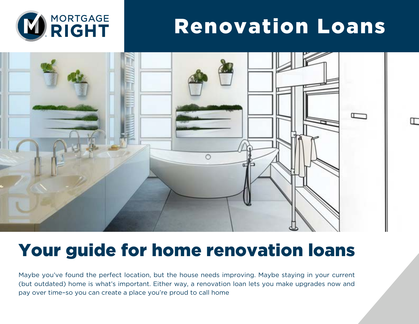

# Renovation Loans

╓



## Your guide for home renovation loans

Maybe you've found the perfect location, but the house needs improving. Maybe staying in your current (but outdated) home is what's important. Either way, a renovation loan lets you make upgrades now and pay over time–so you can create a place you're proud to call home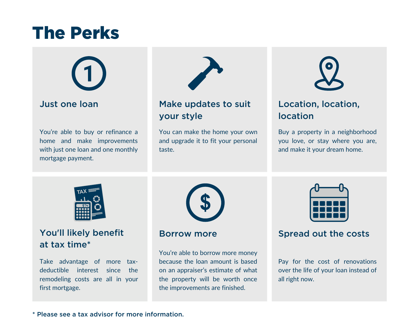## The Perks



#### Just one loan

You're able to buy or refinance a home and make improvements with just one loan and one monthly mortgage payment.



### Make updates to suit your style

You can make the home your own and upgrade it to fit your personal taste.



### Location, location, location

Buy a property in a neighborhood you love, or stay where you are, and make it your dream home.



### You'll likely benefit at tax time\*

Take advantage of more taxdeductible interest since the remodeling costs are all in your first mortgage.



You're able to borrow more money because the loan amount is based on an appraiser's estimate of what the property will be worth once the improvements are finished.



#### Borrow more Spread out the costs

Pay for the cost of renovations over the life of your loan instead of all right now.

#### \* Please see a tax advisor for more information.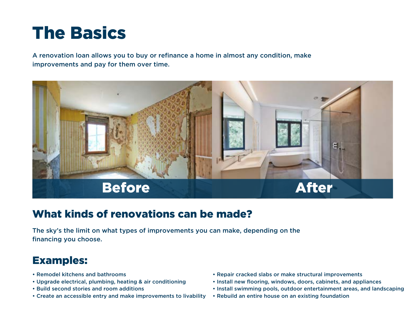# The Basics

A renovation loan allows you to buy or refinance a home in almost any condition, make improvements and pay for them over time.



## What kinds of renovations can be made?

The sky's the limit on what types of improvements you can make, depending on the financing you choose.

## Examples:

- Remodel kitchens and bathrooms
- Upgrade electrical, plumbing, heating & air conditioning
- Build second stories and room additions
- Create an accessible entry and make improvements to livability
- Repair cracked slabs or make structural improvements
- Install new flooring, windows, doors, cabinets, and appliances
- Install swimming pools, outdoor entertainment areas, and landscaping
- Rebuild an entire house on an existing foundation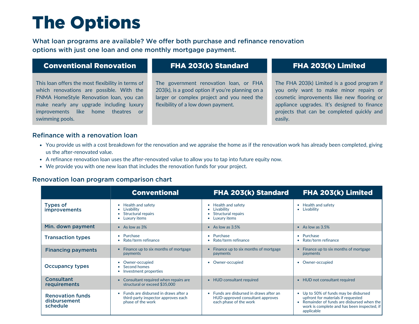# The Options

What loan programs are available? We offer both purchase and refinance renovation options with just one loan and one monthly mortgage payment.

| <b>Conventional Renovation</b>                    | FHA 203(k) Standard                              | FHA 203(k) Limited                           |
|---------------------------------------------------|--------------------------------------------------|----------------------------------------------|
| This loan offers the most flexibility in terms of | The government renovation loan, or FHA           | The FHA 203(k) Limited is a good program if  |
| which renovations are possible. With the          | 203(k), is a good option if you're planning on a | you only want to make minor repairs or       |
| FNMA HomeStyle Renovation Ioan, you can           | larger or complex project and you need the       | cosmetic improvements like new flooring or   |
| make nearly any upgrade including luxury          | flexibility of a low down payment.               | appliance upgrades. It's designed to finance |

#### Refinance with a renovation loan

swimming pools.

improvements like home theatres or

You provide us with a cost breakdown for the renovation and we appraise the home as if the renovation work has already been completed, giving us the after-renovated value.

projects that can be completed quickly and

easily.

- A refinance renovation loan uses the after-renovated value to allow you to tap into future equity now.
- We provide you with one new loan that includes the renovation funds for your project.

#### Renovation loan program comparison chart

|                                                     | <b>Conventional</b>                                                                                           | FHA 203(k) Standard                                                                                   | FHA 203(k) Limited                                                                                                                                                                               |
|-----------------------------------------------------|---------------------------------------------------------------------------------------------------------------|-------------------------------------------------------------------------------------------------------|--------------------------------------------------------------------------------------------------------------------------------------------------------------------------------------------------|
| <b>Types of</b><br><i>improvements</i>              | Health and safety<br>Livability<br>Structural repairs<br>Luxury items                                         | • Health and safety<br>Livability<br><b>Structural repairs</b><br>Luxury items                        | Health and safety<br>٠<br>Livability<br>$\bullet$                                                                                                                                                |
| Min. down payment                                   | • As low as $3\%$                                                                                             | • As low as $3.5%$                                                                                    | • As low as $3.5%$                                                                                                                                                                               |
| <b>Transaction types</b>                            | Purchase<br>$\bullet$<br>Rate/term refinance                                                                  | • Purchase<br>• Rate/term refinance                                                                   | Purchase<br>$\bullet$<br>Rate/term refinance                                                                                                                                                     |
| <b>Financing payments</b>                           | Finance up to six months of mortgage<br>payments                                                              | Finance up to six months of mortgage<br>payments                                                      | Finance up to six months of mortgage<br>payments                                                                                                                                                 |
| <b>Occupancy types</b>                              | Owner-occupied<br>Second homes<br>Investment properties                                                       | Owner-occupied                                                                                        | Owner-occupied<br>٠                                                                                                                                                                              |
| <b>Consultant</b><br>requirements                   | Consultant required when repairs are<br>structural or exceed \$35,000                                         | • HUD consultant required                                                                             | HUD not consultant required<br>$\bullet$                                                                                                                                                         |
| <b>Renovation funds</b><br>disbursement<br>schedule | Funds are disbursed in draws after a<br>$\bullet$<br>third-party inspector approves each<br>phase of the work | • Funds are disbursed in draws after an<br>HUD-approved consultant approves<br>each phase of the work | Up to 50% of funds may be disbursed<br>$\bullet$<br>upfront for materials if requested<br>Remainder of funds are disbursed when the<br>work is complete and has been inspected, if<br>applicable |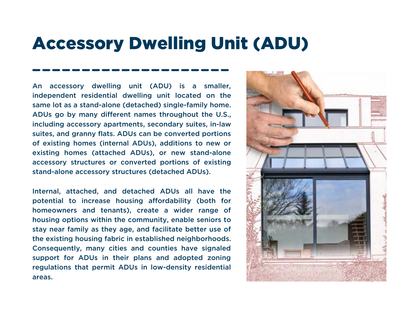## Accessory Dwelling Unit (ADU)

An accessory dwelling unit (ADU) is a smaller, independent residential dwelling unit located on the same lot as a stand-alone (detached) single-family home. ADUs go by many different names throughout the U.S., including accessory apartments, secondary suites, in-law suites, and granny flats. ADUs can be converted portions of existing homes (internal ADUs), additions to new or existing homes (attached ADUs), or new stand-alone accessory structures or converted portions of existing stand-alone accessory structures (detached ADUs).

Internal, attached, and detached ADUs all have the potential to increase housing affordability (both for homeowners and tenants), create a wider range of housing options within the community, enable seniors to stay near family as they age, and facilitate better use of the existing housing fabric in established neighborhoods. Consequently, many cities and counties have signaled support for ADUs in their plans and adopted zoning regulations that permit ADUs in low-density residential areas.

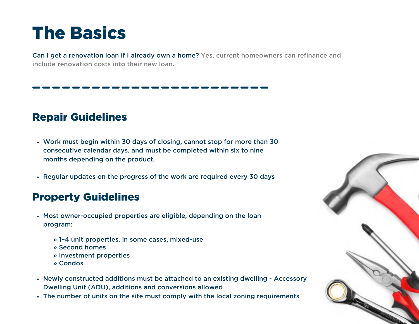# The Basics

Can I get a renovation loan if I already own a home? Yes, current homeowners can refinance and include renovation costs into their new loan.

## Repair Guidelines

- Work must begin within 30 days of closing, cannot stop for more than 30 consecutive calendar days, and must be completed within six to nine months depending on the product.
- Regular updates on the progress of the work are required every 30 days

#### Property Guidelines

- Most owner-occupied properties are eligible, depending on the loan program:
	- » 1–4 unit properties, in some cases, mixed-use
	- » Second homes
	- » Investment properties
	- » Condos
- Newly constructed additions must be attached to an existing dwelling Accessory Dwelling Unit (ADU), additions and conversions allowed
- The number of units on the site must comply with the local zoning requirements

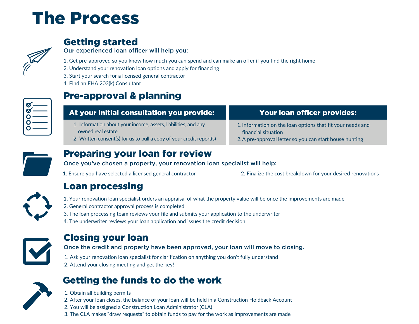# The Process



## Getting started

Our experienced loan officer will help you:

- 1. Get pre-approved so you know how much you can spend and can make an offer if you find the right home
- 2. Understand your renovation loan options and apply for financing
- 3. Start your search for a licensed general contractor
- 4. Find an FHA 203(k) Consultant



## Pre-approval & planning

| At your initial consultation you provide:                            | Your loan officer provides:                                |
|----------------------------------------------------------------------|------------------------------------------------------------|
| 1. Information about your income, assets, liabilities, and any       | 1. Information on the loan options that fit your needs and |
| owned real estate                                                    | financial situation                                        |
| 2. Written consent(s) for us to pull a copy of your credit report(s) | 2. A pre-approval letter so you can start house hunting    |



### Preparing your loan for review

Once you've chosen a property, your renovation loan specialist will help:

1. Ensure you have selected a licensed general contractor

2. Finalize the cost breakdown for your desired renovations



#### Loan processing

1. Your renovation loan specialist orders an appraisal of what the property value will be once the improvements are made

- 2. General contractor approval process is completed
- 3. The loan processing team reviews your file and submits your application to the underwriter
- 4. The underwriter reviews your loan application and issues the credit decision



#### Closing your loan

Once the credit and property have been approved, your loan will move to closing.

1. Ask your renovation loan specialist for clarification on anything you don't fully understand 2. Attend your closing meeting and get the key!



## Getting the funds to do the work

1. Obtain all building permits 2. After your loan closes, the balance of your loan will be held in a Construction Holdback Account 2. You will be assigned a Construction Loan Administrator (CLA) 3. The CLA makes "draw requests" to obtain funds to pay for the work as improvements are made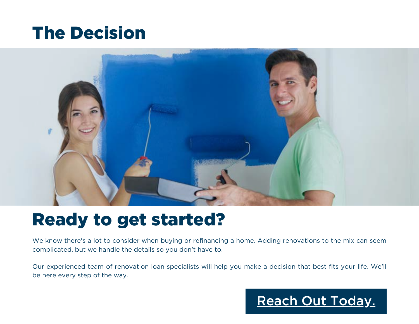## The Decision



## Ready to get started?

We know there's a lot to consider when buying or refinancing a home. Adding renovations to the mix can seem complicated, but we handle the details so you don't have to.

Our experienced team of renovation loan specialists will help you make a decision that best fits your life. We'll be here every step of the way.

## [Reach Out Today.](https://irvine.mortgageright.com/renovation-loans/)